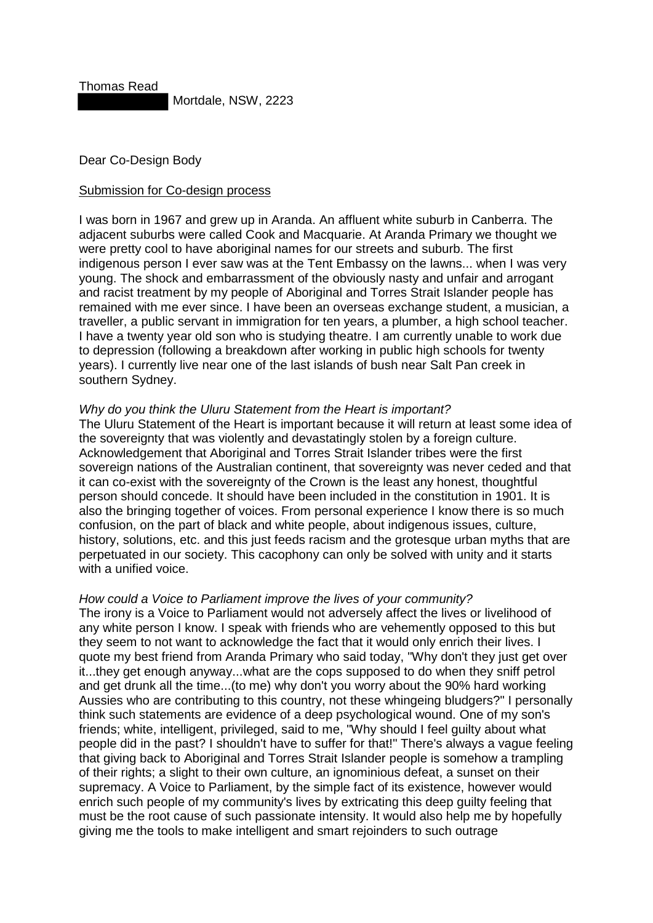Thomas Read

Mortdale, NSW, 2223

Dear Co-Design Body

## Submission for Co-design process

I was born in 1967 and grew up in Aranda. An affluent white suburb in Canberra. The adjacent suburbs were called Cook and Macquarie. At Aranda Primary we thought we were pretty cool to have aboriginal names for our streets and suburb. The first indigenous person I ever saw was at the Tent Embassy on the lawns... when I was very young. The shock and embarrassment of the obviously nasty and unfair and arrogant and racist treatment by my people of Aboriginal and Torres Strait Islander people has remained with me ever since. I have been an overseas exchange student, a musician, a traveller, a public servant in immigration for ten years, a plumber, a high school teacher. I have a twenty year old son who is studying theatre. I am currently unable to work due to depression (following a breakdown after working in public high schools for twenty years). I currently live near one of the last islands of bush near Salt Pan creek in southern Sydney.

## *Why do you think the Uluru Statement from the Heart is important?*

The Uluru Statement of the Heart is important because it will return at least some idea of the sovereignty that was violently and devastatingly stolen by a foreign culture. Acknowledgement that Aboriginal and Torres Strait Islander tribes were the first sovereign nations of the Australian continent, that sovereignty was never ceded and that it can co-exist with the sovereignty of the Crown is the least any honest, thoughtful person should concede. It should have been included in the constitution in 1901. It is also the bringing together of voices. From personal experience I know there is so much confusion, on the part of black and white people, about indigenous issues, culture, history, solutions, etc. and this just feeds racism and the grotesque urban myths that are perpetuated in our society. This cacophony can only be solved with unity and it starts with a unified voice.

## *How could a Voice to Parliament improve the lives of your community?*

The irony is a Voice to Parliament would not adversely affect the lives or livelihood of any white person I know. I speak with friends who are vehemently opposed to this but they seem to not want to acknowledge the fact that it would only enrich their lives. I quote my best friend from Aranda Primary who said today, "Why don't they just get over it...they get enough anyway...what are the cops supposed to do when they sniff petrol and get drunk all the time...(to me) why don't you worry about the 90% hard working Aussies who are contributing to this country, not these whingeing bludgers?" I personally think such statements are evidence of a deep psychological wound. One of my son's friends; white, intelligent, privileged, said to me, "Why should I feel guilty about what people did in the past? I shouldn't have to suffer for that!" There's always a vague feeling that giving back to Aboriginal and Torres Strait Islander people is somehow a trampling of their rights; a slight to their own culture, an ignominious defeat, a sunset on their supremacy. A Voice to Parliament, by the simple fact of its existence, however would enrich such people of my community's lives by extricating this deep guilty feeling that must be the root cause of such passionate intensity. It would also help me by hopefully giving me the tools to make intelligent and smart rejoinders to such outrage